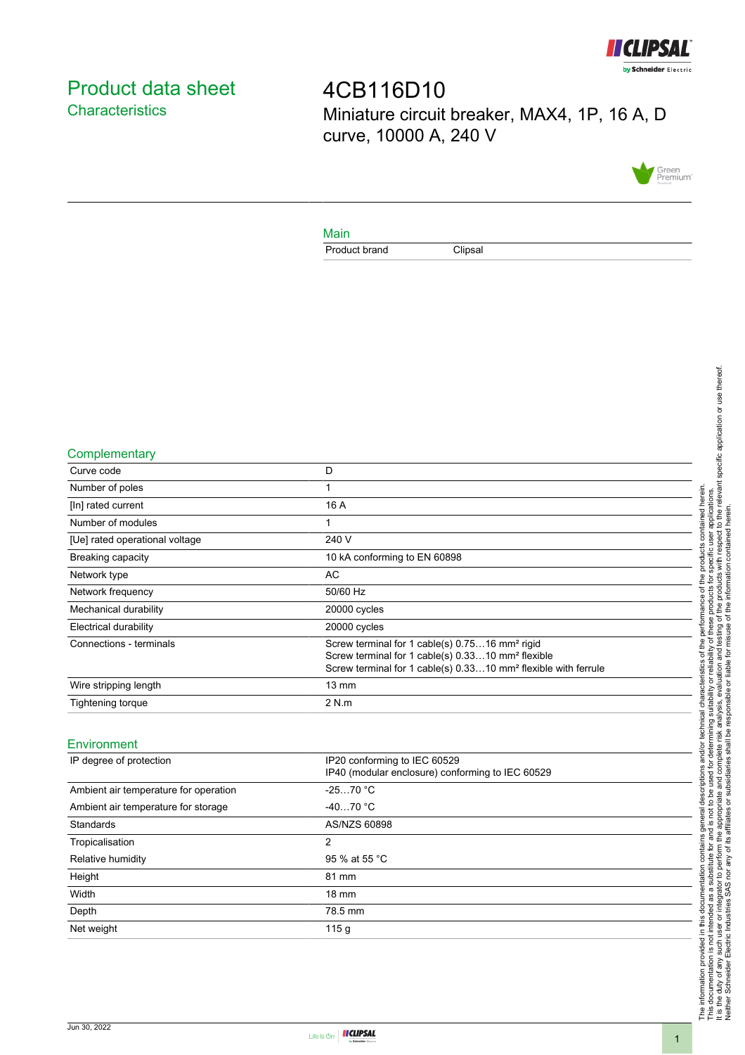

# <span id="page-0-0"></span>Product data sheet **Characteristics**

4CB116D10 Miniature circuit breaker, MAX4, 1P, 16 A, D curve, 10000 A, 240 V



### Main

Product brand Clipsal

### **Complementary**

| Curve code                     | D                                                                                                                                                                                                         |
|--------------------------------|-----------------------------------------------------------------------------------------------------------------------------------------------------------------------------------------------------------|
| Number of poles                |                                                                                                                                                                                                           |
| [In] rated current             | 16 A                                                                                                                                                                                                      |
| Number of modules              |                                                                                                                                                                                                           |
| [Ue] rated operational voltage | 240 V                                                                                                                                                                                                     |
| <b>Breaking capacity</b>       | 10 kA conforming to EN 60898                                                                                                                                                                              |
| Network type                   | AC.                                                                                                                                                                                                       |
| Network frequency              | 50/60 Hz                                                                                                                                                                                                  |
| Mechanical durability          | 20000 cycles                                                                                                                                                                                              |
| <b>Electrical durability</b>   | 20000 cycles                                                                                                                                                                                              |
| Connections - terminals        | Screw terminal for 1 cable(s) 0.7516 mm <sup>2</sup> rigid<br>Screw terminal for 1 cable(s) 0.3310 mm <sup>2</sup> flexible<br>Screw terminal for 1 cable(s) 0.3310 mm <sup>2</sup> flexible with ferrule |
| Wire stripping length          | $13 \text{ mm}$                                                                                                                                                                                           |
| Tightening torque              | 2 N.m                                                                                                                                                                                                     |
|                                |                                                                                                                                                                                                           |

#### Environment

| IP degree of protection               | IP20 conforming to IEC 60529<br>IP40 (modular enclosure) conforming to IEC 60529 |
|---------------------------------------|----------------------------------------------------------------------------------|
| Ambient air temperature for operation | $-2570 °C$                                                                       |
| Ambient air temperature for storage   | $-4070 °C$                                                                       |
| Standards                             | AS/NZS 60898                                                                     |
| Tropicalisation                       | 2                                                                                |
| Relative humidity                     | 95 % at 55 °C                                                                    |
| Height                                | 81 mm                                                                            |
| Width                                 | $18 \text{ mm}$                                                                  |
| Depth                                 | 78.5 mm                                                                          |
| Net weight                            | 115 <sub>q</sub>                                                                 |
|                                       |                                                                                  |